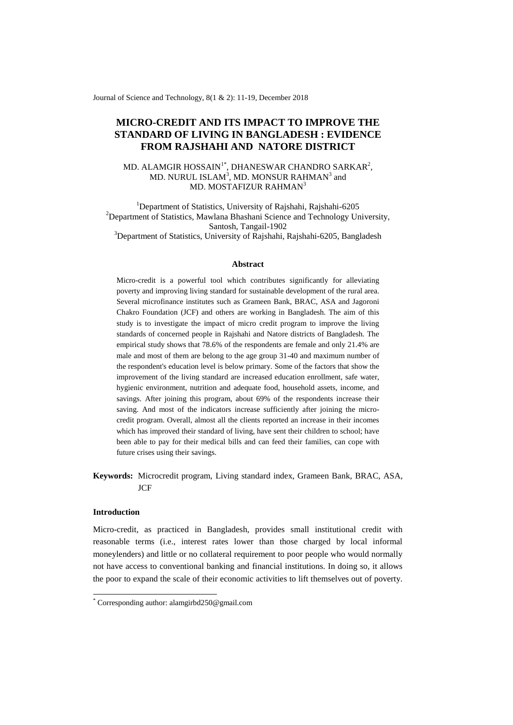Journal of Science and Technology, 8(1 & 2): 11-19, December 2018

# **MICRO-CREDIT AND ITS IMPACT TO IMPROVE THE STANDARD OF LIVING IN BANGLADESH : EVIDENCE FROM RAJSHAHI AND NATORE DISTRICT**

# MD. ALAMGIR HOSSAIN<sup>1\*</sup>, DHANESWAR CHANDRO SARKAR<sup>2</sup>, MD. NURUL ISLAM $^3\!,\rm{MD}$ . MONSUR RAHMAN $^3$  and MD. MOSTAFIZUR RAHMAN 3

<sup>1</sup>Department of Statistics, University of Rajshahi, Rajshahi-6205 <sup>2</sup>Department of Statistics, Mawlana Bhashani Science and Technology University, Santosh, Tangail-1902 <sup>3</sup>Department of Statistics, University of Rajshahi, Rajshahi-6205, Bangladesh

#### **Abstract**

Micro-credit is a powerful tool which contributes significantly for alleviating poverty and improving living standard for sustainable development of the rural area. Several microfinance institutes such as Grameen Bank, BRAC, ASA and Jagoroni Chakro Foundation (JCF) and others are working in Bangladesh. The aim of this study is to investigate the impact of micro credit program to improve the living standards of concerned people in Rajshahi and Natore districts of Bangladesh. The empirical study shows that 78.6% of the respondents are female and only 21.4% are male and most of them are belong to the age group 31-40 and maximum number of the respondent's education level is below primary. Some of the factors that show the improvement of the living standard are increased education enrollment, safe water, hygienic environment, nutrition and adequate food, household assets, income, and savings. After joining this program, about 69% of the respondents increase their saving. And most of the indicators increase sufficiently after joining the microcredit program. Overall, almost all the clients reported an increase in their incomes which has improved their standard of living, have sent their children to school; have been able to pay for their medical bills and can feed their families, can cope with future crises using their savings.

**Keywords:** Microcredit program, Living standard index, Grameen Bank, BRAC, ASA, JCF

# **Introduction**

-

Micro-credit, as practiced in Bangladesh, provides small institutional credit with reasonable terms (i.e., interest rates lower than those charged by local informal moneylenders) and little or no collateral requirement to poor people who would normally not have access to conventional banking and financial institutions. In doing so, it allows the poor to expand the scale of their economic activities to lift themselves out of poverty.

<sup>\*</sup> Corresponding author: alamgirbd250@gmail.com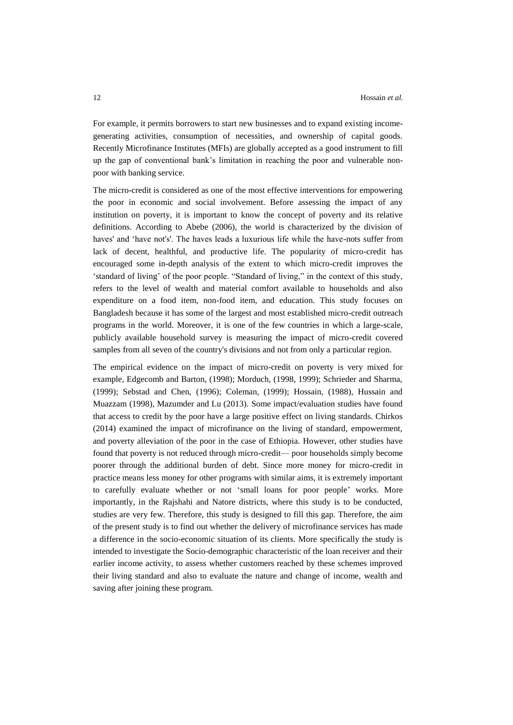For example, it permits borrowers to start new businesses and to expand existing incomegenerating activities, consumption of necessities, and ownership of capital goods. Recently Microfinance Institutes (MFIs) are globally accepted as a good instrument to fill up the gap of conventional bank's limitation in reaching the poor and vulnerable nonpoor with banking service.

The micro-credit is considered as one of the most effective interventions for empowering the poor in economic and social involvement. Before assessing the impact of any institution on poverty, it is important to know the concept of poverty and its relative definitions. According to Abebe (2006), the world is characterized by the division of haves' and 'have not's'. The haves leads a luxurious life while the have-nots suffer from lack of decent, healthful, and productive life. The popularity of micro-credit has encouraged some in-depth analysis of the extent to which micro-credit improves the 'standard of living' of the poor people. "Standard of living," in the context of this study, refers to the level of wealth and material comfort available to households and also expenditure on a food item, non-food item, and education. This study focuses on Bangladesh because it has some of the largest and most established micro-credit outreach programs in the world. Moreover, it is one of the few countries in which a large-scale, publicly available household survey is measuring the impact of micro-credit covered samples from all seven of the country's divisions and not from only a particular region.

The empirical evidence on the impact of micro-credit on poverty is very mixed for example, Edgecomb and Barton, (1998); Morduch, (1998, 1999); Schrieder and Sharma, (1999); Sebstad and Chen, (1996); Coleman, (1999); Hossain, (1988), Hussain and Muazzam (1998), Mazumder and Lu (2013). Some impact/evaluation studies have found that access to credit by the poor have a large positive effect on living standards. Chirkos (2014) examined the impact of microfinance on the living of standard, empowerment, and poverty alleviation of the poor in the case of Ethiopia. However, other studies have found that poverty is not reduced through micro-credit— poor households simply become poorer through the additional burden of debt. Since more money for micro-credit in practice means less money for other programs with similar aims, it is extremely important to carefully evaluate whether or not 'small loans for poor people' works. More importantly, in the Rajshahi and Natore districts, where this study is to be conducted, studies are very few. Therefore, this study is designed to fill this gap. Therefore, the aim of the present study is to find out whether the delivery of microfinance services has made a difference in the socio-economic situation of its clients. More specifically the study is intended to investigate the Socio-demographic characteristic of the loan receiver and their earlier income activity, to assess whether customers reached by these schemes improved their living standard and also to evaluate the nature and change of income, wealth and saving after joining these program.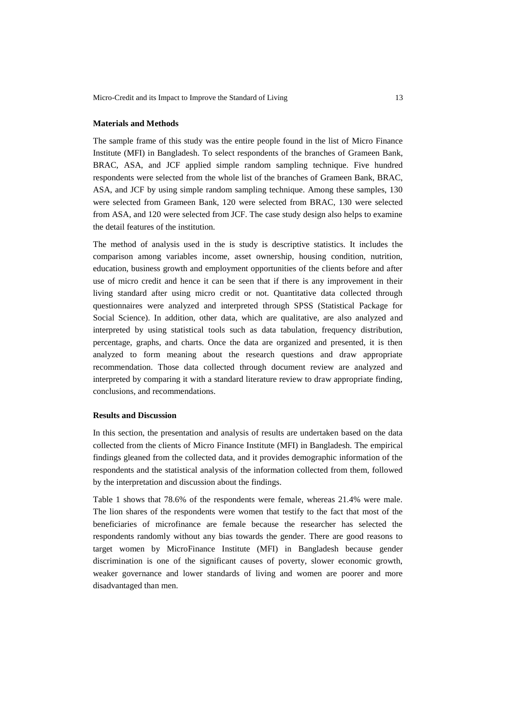Micro-Credit and its Impact to Improve the Standard of Living 13

### **Materials and Methods**

The sample frame of this study was the entire people found in the list of Micro Finance Institute (MFI) in Bangladesh. To select respondents of the branches of Grameen Bank, BRAC, ASA, and JCF applied simple random sampling technique. Five hundred respondents were selected from the whole list of the branches of Grameen Bank, BRAC, ASA, and JCF by using simple random sampling technique. Among these samples, 130 were selected from Grameen Bank, 120 were selected from BRAC, 130 were selected from ASA, and 120 were selected from JCF. The case study design also helps to examine the detail features of the institution.

The method of analysis used in the is study is descriptive statistics. It includes the comparison among variables income, asset ownership, housing condition, nutrition, education, business growth and employment opportunities of the clients before and after use of micro credit and hence it can be seen that if there is any improvement in their living standard after using micro credit or not. Quantitative data collected through questionnaires were analyzed and interpreted through SPSS (Statistical Package for Social Science). In addition, other data, which are qualitative, are also analyzed and interpreted by using statistical tools such as data tabulation, frequency distribution, percentage, graphs, and charts. Once the data are organized and presented, it is then analyzed to form meaning about the research questions and draw appropriate recommendation. Those data collected through document review are analyzed and interpreted by comparing it with a standard literature review to draw appropriate finding, conclusions, and recommendations.

#### **Results and Discussion**

In this section, the presentation and analysis of results are undertaken based on the data collected from the clients of Micro Finance Institute (MFI) in Bangladesh. The empirical findings gleaned from the collected data, and it provides demographic information of the respondents and the statistical analysis of the information collected from them, followed by the interpretation and discussion about the findings.

Table 1 shows that 78.6% of the respondents were female, whereas 21.4% were male. The lion shares of the respondents were women that testify to the fact that most of the beneficiaries of microfinance are female because the researcher has selected the respondents randomly without any bias towards the gender. There are good reasons to target women by MicroFinance Institute (MFI) in Bangladesh because gender discrimination is one of the significant causes of poverty, slower economic growth, weaker governance and lower standards of living and women are poorer and more disadvantaged than men.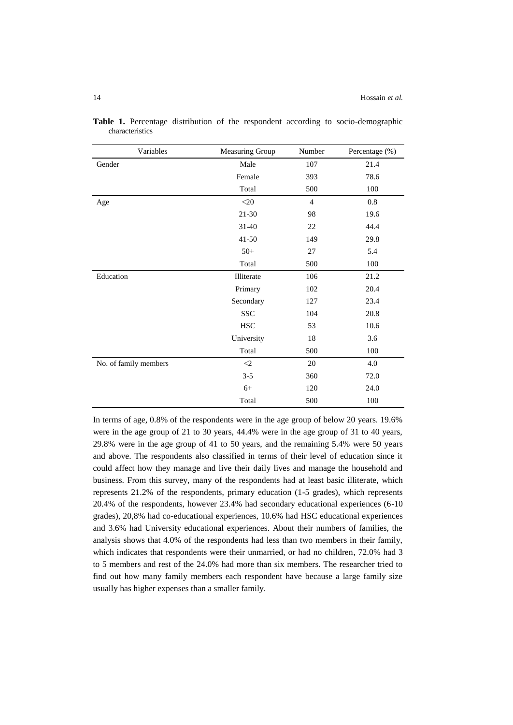| Variables             | Measuring Group     | Number         | Percentage (%) |
|-----------------------|---------------------|----------------|----------------|
| Gender                | Male                | 107            | 21.4           |
|                       | Female              | 393            | 78.6           |
|                       | Total               | 500            | 100            |
| Age                   | $<$ 20              | $\overline{4}$ | 0.8            |
|                       | $21 - 30$           | 98             | 19.6           |
|                       | $31 - 40$           | 22             | 44.4           |
|                       | $41 - 50$           | 149            | 29.8           |
|                       | $50+$               | 27             | 5.4            |
|                       | Total               | 500            | 100            |
| Education             | Illiterate          | 106            | 21.2           |
|                       | Primary             | 102            | 20.4           |
|                       | Secondary           | 127            | 23.4           |
|                       | <b>SSC</b>          | 104            | 20.8           |
|                       | $_{\mathrm{HSC}}$   | 53             | 10.6           |
|                       | University          | 18             | 3.6            |
|                       | Total               | 500            | 100            |
| No. of family members | $\langle 2 \rangle$ | 20             | 4.0            |
|                       | $3 - 5$             | 360            | 72.0           |
|                       | $6+$                | 120            | 24.0           |
|                       | Total               | 500            | 100            |

**Table 1.** Percentage distribution of the respondent according to socio-demographic characteristics

In terms of age, 0.8% of the respondents were in the age group of below 20 years. 19.6% were in the age group of 21 to 30 years, 44.4% were in the age group of 31 to 40 years, 29.8% were in the age group of 41 to 50 years, and the remaining 5.4% were 50 years and above. The respondents also classified in terms of their level of education since it could affect how they manage and live their daily lives and manage the household and business. From this survey, many of the respondents had at least basic illiterate, which represents 21.2% of the respondents, primary education (1-5 grades), which represents 20.4% of the respondents, however 23.4% had secondary educational experiences (6-10 grades), 20,8% had co-educational experiences, 10.6% had HSC educational experiences and 3.6% had University educational experiences. About their numbers of families, the analysis shows that 4.0% of the respondents had less than two members in their family, which indicates that respondents were their unmarried, or had no children, 72.0% had 3 to 5 members and rest of the 24.0% had more than six members. The researcher tried to find out how many family members each respondent have because a large family size usually has higher expenses than a smaller family.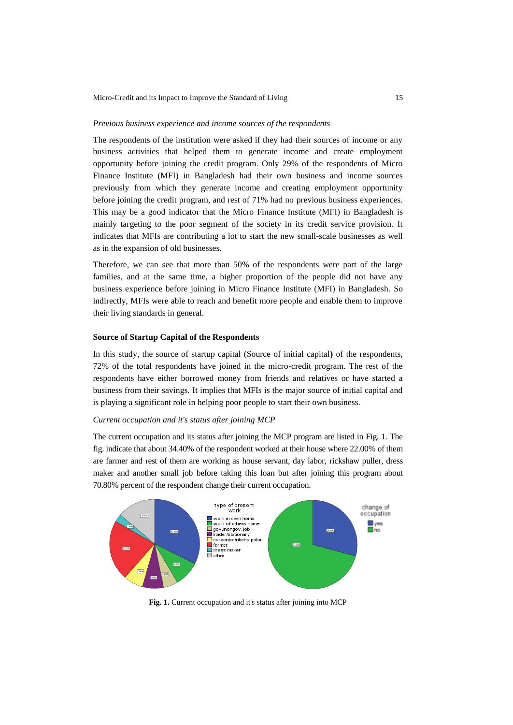### *Previous business experience and income sources of the respondents*

The respondents of the institution were asked if they had their sources of income or any business activities that helped them to generate income and create employment opportunity before joining the credit program. Only 29% of the respondents of Micro Finance Institute (MFI) in Bangladesh had their own business and income sources previously from which they generate income and creating employment opportunity before joining the credit program, and rest of 71% had no previous business experiences. This may be a good indicator that the Micro Finance Institute (MFI) in Bangladesh is mainly targeting to the poor segment of the society in its credit service provision. It indicates that MFIs are contributing a lot to start the new small-scale businesses as well as in the expansion of old businesses.

Therefore, we can see that more than 50% of the respondents were part of the large families, and at the same time, a higher proportion of the people did not have any business experience before joining in Micro Finance Institute (MFI) in Bangladesh. So indirectly, MFIs were able to reach and benefit more people and enable them to improve their living standards in general.

### **Source of Startup Capital of the Respondents**

In this study, the source of startup capital (Source of initial capital**)** of the respondents, 72% of the total respondents have joined in the micro-credit program. The rest of the respondents have either borrowed money from friends and relatives or have started a business from their savings. It implies that MFIs is the major source of initial capital and is playing a significant role in helping poor people to start their own business.

#### *Current occupation and it's status after joining MCP*

The current occupation and its status after joining the MCP program are listed in Fig. 1. The fig. indicate that about 34.40% of the respondent worked at their house where 22.00% of them are farmer and rest of them are working as house servant, day labor, rickshaw puller, dress maker and another small job before taking this loan but after joining this program about 70.80% percent of the respondent change their current occupation.



**Fig. 1.** Current occupation and it's status after joining into MCP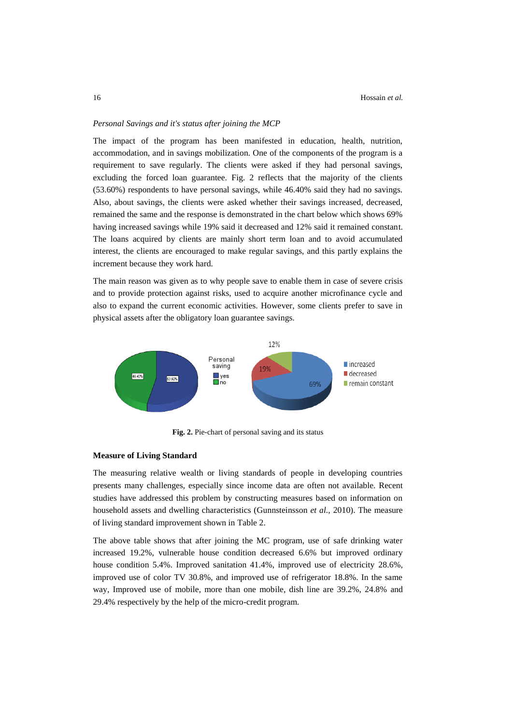# *Personal Savings and it's status after joining the MCP*

The impact of the program has been manifested in education, health, nutrition, accommodation, and in savings mobilization. One of the components of the program is a requirement to save regularly. The clients were asked if they had personal savings, excluding the forced loan guarantee. Fig. 2 reflects that the majority of the clients (53.60%) respondents to have personal savings, while 46.40% said they had no savings. Also, about savings, the clients were asked whether their savings increased, decreased, remained the same and the response is demonstrated in the chart below which shows 69% having increased savings while 19% said it decreased and 12% said it remained constant. The loans acquired by clients are mainly short term loan and to avoid accumulated interest, the clients are encouraged to make regular savings, and this partly explains the increment because they work hard.

The main reason was given as to why people save to enable them in case of severe crisis and to provide protection against risks, used to acquire another microfinance cycle and also to expand the current economic activities. However, some clients prefer to save in physical assets after the obligatory loan guarantee savings.



**Fig. 2.** Pie-chart of personal saving and its status

#### **Measure of Living Standard**

The measuring relative wealth or living standards of people in developing countries presents many challenges, especially since income data are often not available. Recent studies have addressed this problem by constructing measures based on information on household assets and dwelling characteristics (Gunnsteinsson *et al.,* 2010). The measure of living standard improvement shown in Table 2.

The above table shows that after joining the MC program, use of safe drinking water increased 19.2%, vulnerable house condition decreased 6.6% but improved ordinary house condition 5.4%. Improved sanitation 41.4%, improved use of electricity 28.6%, improved use of color TV 30.8%, and improved use of refrigerator 18.8%. In the same way, Improved use of mobile, more than one mobile, dish line are 39.2%, 24.8% and 29.4% respectively by the help of the micro-credit program.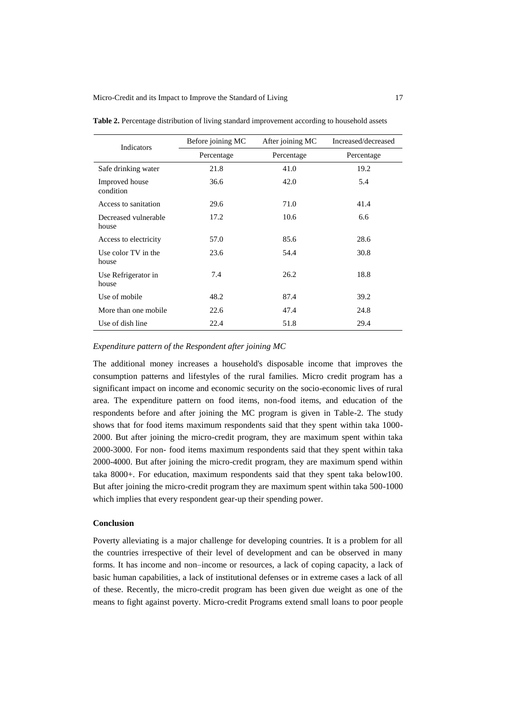| Indicators                    | Before joining MC | After joining MC | Increased/decreased |
|-------------------------------|-------------------|------------------|---------------------|
|                               | Percentage        | Percentage       | Percentage          |
| Safe drinking water           | 21.8              | 41.0             | 19.2                |
| Improved house<br>condition   | 36.6              | 42.0             | 5.4                 |
| Access to sanitation          | 29.6              | 71.0             | 41.4                |
| Decreased vulnerable<br>house | 17.2              | 10.6             | 6.6                 |
| Access to electricity         | 57.0              | 85.6             | 28.6                |
| Use color TV in the<br>house  | 23.6              | 54.4             | 30.8                |
| Use Refrigerator in<br>house  | 7.4               | 26.2             | 18.8                |
| Use of mobile                 | 48.2              | 87.4             | 39.2                |
| More than one mobile          | 22.6              | 47.4             | 24.8                |
| Use of dish line              | 22.4              | 51.8             | 29.4                |

**Table 2.** Percentage distribution of living standard improvement according to household assets

# *Expenditure pattern of the Respondent after joining MC*

The additional money increases a household's disposable income that improves the consumption patterns and lifestyles of the rural families. Micro credit program has a significant impact on income and economic security on the socio-economic lives of rural area. The expenditure pattern on food items, non-food items, and education of the respondents before and after joining the MC program is given in Table-2. The study shows that for food items maximum respondents said that they spent within taka 1000- 2000. But after joining the micro-credit program, they are maximum spent within taka 2000-3000. For non- food items maximum respondents said that they spent within taka 2000-4000. But after joining the micro-credit program, they are maximum spend within taka 8000+. For education, maximum respondents said that they spent taka below100. But after joining the micro-credit program they are maximum spent within taka 500-1000 which implies that every respondent gear-up their spending power.

# **Conclusion**

Poverty alleviating is a major challenge for developing countries. It is a problem for all the countries irrespective of their level of development and can be observed in many forms. It has income and non–income or resources, a lack of coping capacity, a lack of basic human capabilities, a lack of institutional defenses or in extreme cases a lack of all of these. Recently, the micro-credit program has been given due weight as one of the means to fight against poverty. Micro-credit Programs extend small loans to poor people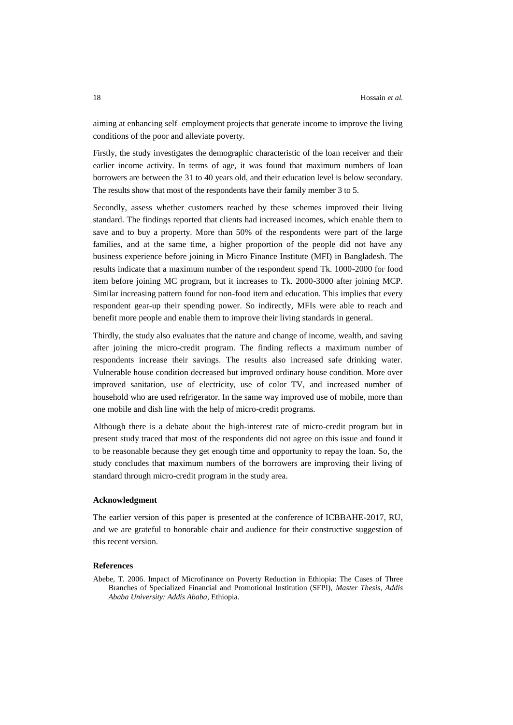aiming at enhancing self–employment projects that generate income to improve the living conditions of the poor and alleviate poverty.

Firstly, the study investigates the demographic characteristic of the loan receiver and their earlier income activity. In terms of age, it was found that maximum numbers of loan borrowers are between the 31 to 40 years old, and their education level is below secondary. The results show that most of the respondents have their family member 3 to 5.

Secondly, assess whether customers reached by these schemes improved their living standard. The findings reported that clients had increased incomes, which enable them to save and to buy a property. More than 50% of the respondents were part of the large families, and at the same time, a higher proportion of the people did not have any business experience before joining in Micro Finance Institute (MFI) in Bangladesh. The results indicate that a maximum number of the respondent spend Tk. 1000-2000 for food item before joining MC program, but it increases to Tk. 2000-3000 after joining MCP. Similar increasing pattern found for non-food item and education. This implies that every respondent gear-up their spending power. So indirectly, MFIs were able to reach and benefit more people and enable them to improve their living standards in general.

Thirdly, the study also evaluates that the nature and change of income, wealth, and saving after joining the micro-credit program. The finding reflects a maximum number of respondents increase their savings. The results also increased safe drinking water. Vulnerable house condition decreased but improved ordinary house condition. More over improved sanitation, use of electricity, use of color TV, and increased number of household who are used refrigerator. In the same way improved use of mobile, more than one mobile and dish line with the help of micro-credit programs.

Although there is a debate about the high-interest rate of micro-credit program but in present study traced that most of the respondents did not agree on this issue and found it to be reasonable because they get enough time and opportunity to repay the loan. So, the study concludes that maximum numbers of the borrowers are improving their living of standard through micro-credit program in the study area.

#### **Acknowledgment**

The earlier version of this paper is presented at the conference of ICBBAHE-2017, RU, and we are grateful to honorable chair and audience for their constructive suggestion of this recent version.

# **References**

Abebe, T. 2006. Impact of Microfinance on Poverty Reduction in Ethiopia: The Cases of Three Branches of Specialized Financial and Promotional Institution (SFPI), *Master Thesis, Addis Ababa University: Addis Ababa,* Ethiopia.